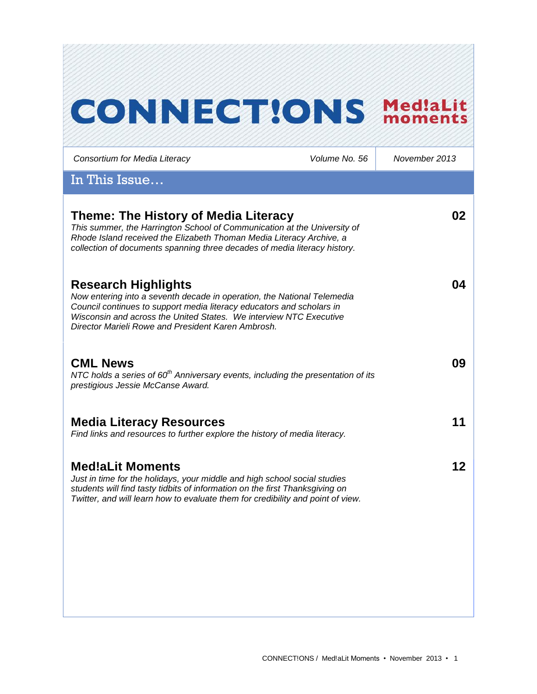# **CONNECT!ONS Med!aLit**

*Consortium for Media Literacy Volume No. 56 November 2013*

In This Issue…

| Theme: The History of Media Literacy<br>This summer, the Harrington School of Communication at the University of<br>Rhode Island received the Elizabeth Thoman Media Literacy Archive, a<br>collection of documents spanning three decades of media literacy history.                                      | 02 |
|------------------------------------------------------------------------------------------------------------------------------------------------------------------------------------------------------------------------------------------------------------------------------------------------------------|----|
| <b>Research Highlights</b><br>Now entering into a seventh decade in operation, the National Telemedia<br>Council continues to support media literacy educators and scholars in<br>Wisconsin and across the United States. We interview NTC Executive<br>Director Marieli Rowe and President Karen Ambrosh. | 04 |
| <b>CML News</b><br>NTC holds a series of $60th$ Anniversary events, including the presentation of its<br>prestigious Jessie McCanse Award.                                                                                                                                                                 | 09 |
| <b>Media Literacy Resources</b><br>Find links and resources to further explore the history of media literacy.                                                                                                                                                                                              | 11 |
| <b>Med!aLit Moments</b><br>Just in time for the holidays, your middle and high school social studies<br>students will find tasty tidbits of information on the first Thanksgiving on<br>Twitter, and will learn how to evaluate them for credibility and point of view.                                    | 12 |
|                                                                                                                                                                                                                                                                                                            |    |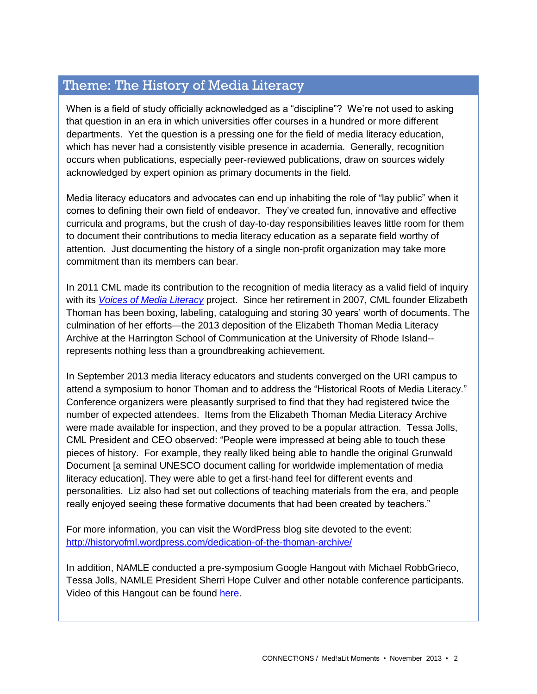# Theme: The History of Media Literacy

When is a field of study officially acknowledged as a "discipline"? We're not used to asking that question in an era in which universities offer courses in a hundred or more different departments. Yet the question is a pressing one for the field of media literacy education, which has never had a consistently visible presence in academia. Generally, recognition occurs when publications, especially peer-reviewed publications, draw on sources widely acknowledged by expert opinion as primary documents in the field.

Media literacy educators and advocates can end up inhabiting the role of "lay public" when it comes to defining their own field of endeavor. They've created fun, innovative and effective curricula and programs, but the crush of day-to-day responsibilities leaves little room for them to document their contributions to media literacy education as a separate field worthy of attention. Just documenting the history of a single non-profit organization may take more commitment than its members can bear.

In 2011 CML made its contribution to the recognition of media literacy as a valid field of inquiry with its *[Voices of Media Literacy](http://www.medialit.org/voices-media-literacy-international-pioneers-speak)* project. Since her retirement in 2007, CML founder Elizabeth Thoman has been boxing, labeling, cataloguing and storing 30 years' worth of documents. The culmination of her efforts—the 2013 deposition of the Elizabeth Thoman Media Literacy Archive at the Harrington School of Communication at the University of Rhode Island- represents nothing less than a groundbreaking achievement.

In September 2013 media literacy educators and students converged on the URI campus to attend a symposium to honor Thoman and to address the "Historical Roots of Media Literacy." Conference organizers were pleasantly surprised to find that they had registered twice the number of expected attendees. Items from the Elizabeth Thoman Media Literacy Archive were made available for inspection, and they proved to be a popular attraction. Tessa Jolls, CML President and CEO observed: "People were impressed at being able to touch these pieces of history. For example, they really liked being able to handle the original Grunwald Document [a seminal UNESCO document calling for worldwide implementation of media literacy education]. They were able to get a first-hand feel for different events and personalities. Liz also had set out collections of teaching materials from the era, and people really enjoyed seeing these formative documents that had been created by teachers."

For more information, you can visit the WordPress blog site devoted to the event: <http://historyofml.wordpress.com/dedication-of-the-thoman-archive/>

In addition, NAMLE conducted a pre-symposium Google Hangout with Michael RobbGrieco, Tessa Jolls, NAMLE President Sherri Hope Culver and other notable conference participants. Video of this Hangout can be found [here.](http://www.youtube.com/watch?v=SYHg1F4uB-o&feature=player_embedded)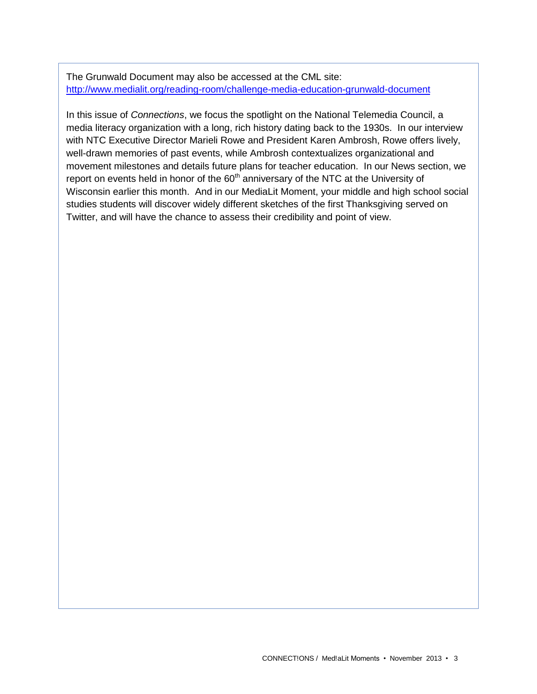The Grunwald Document may also be accessed at the CML site: <http://www.medialit.org/reading-room/challenge-media-education-grunwald-document>

In this issue of *Connections*, we focus the spotlight on the National Telemedia Council, a media literacy organization with a long, rich history dating back to the 1930s. In our interview with NTC Executive Director Marieli Rowe and President Karen Ambrosh, Rowe offers lively, well-drawn memories of past events, while Ambrosh contextualizes organizational and movement milestones and details future plans for teacher education. In our News section, we report on events held in honor of the  $60<sup>th</sup>$  anniversary of the NTC at the University of Wisconsin earlier this month. And in our MediaLit Moment, your middle and high school social studies students will discover widely different sketches of the first Thanksgiving served on Twitter, and will have the chance to assess their credibility and point of view.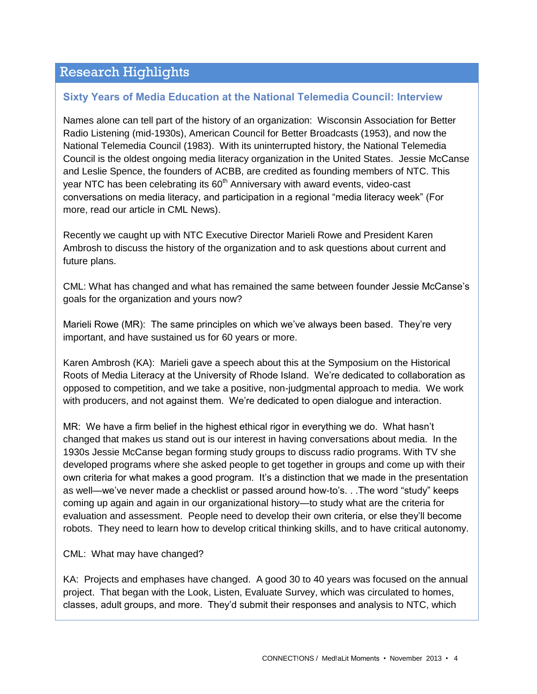# Research Highlights

#### **Sixty Years of Media Education at the National Telemedia Council: Interview**

Names alone can tell part of the history of an organization: Wisconsin Association for Better Radio Listening (mid-1930s), American Council for Better Broadcasts (1953), and now the National Telemedia Council (1983). With its uninterrupted history, the National Telemedia Council is the oldest ongoing media literacy organization in the United States. Jessie McCanse and Leslie Spence, the founders of ACBB, are credited as founding members of NTC. This year NTC has been celebrating its  $60<sup>th</sup>$  Anniversary with award events, video-cast conversations on media literacy, and participation in a regional "media literacy week" (For more, read our article in CML News).

Recently we caught up with NTC Executive Director Marieli Rowe and President Karen Ambrosh to discuss the history of the organization and to ask questions about current and future plans.

CML: What has changed and what has remained the same between founder Jessie McCanse's goals for the organization and yours now?

Marieli Rowe (MR): The same principles on which we've always been based. They're very important, and have sustained us for 60 years or more.

Karen Ambrosh (KA): Marieli gave a speech about this at the Symposium on the Historical Roots of Media Literacy at the University of Rhode Island. We're dedicated to collaboration as opposed to competition, and we take a positive, non-judgmental approach to media. We work with producers, and not against them. We're dedicated to open dialogue and interaction.

MR: We have a firm belief in the highest ethical rigor in everything we do. What hasn't changed that makes us stand out is our interest in having conversations about media. In the 1930s Jessie McCanse began forming study groups to discuss radio programs. With TV she developed programs where she asked people to get together in groups and come up with their own criteria for what makes a good program. It's a distinction that we made in the presentation as well—we've never made a checklist or passed around how-to's. . .The word "study" keeps coming up again and again in our organizational history—to study what are the criteria for evaluation and assessment. People need to develop their own criteria, or else they'll become robots. They need to learn how to develop critical thinking skills, and to have critical autonomy.

#### CML: What may have changed?

KA: Projects and emphases have changed. A good 30 to 40 years was focused on the annual project. That began with the Look, Listen, Evaluate Survey, which was circulated to homes, classes, adult groups, and more. They'd submit their responses and analysis to NTC, which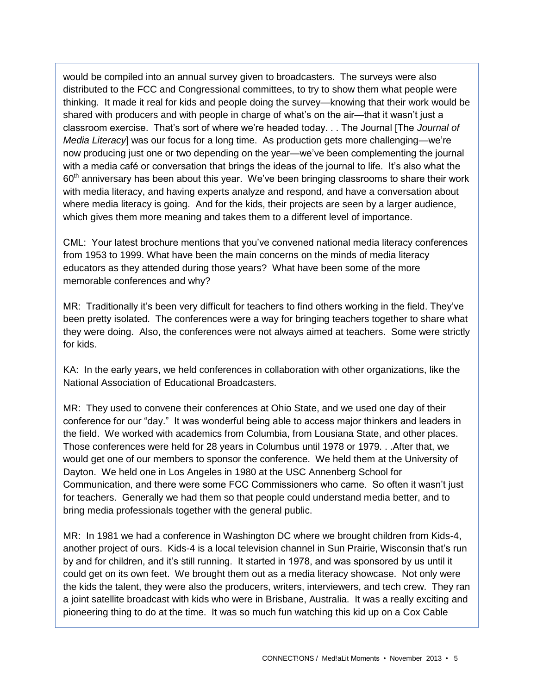would be compiled into an annual survey given to broadcasters. The surveys were also distributed to the FCC and Congressional committees, to try to show them what people were thinking. It made it real for kids and people doing the survey—knowing that their work would be shared with producers and with people in charge of what's on the air—that it wasn't just a classroom exercise. That's sort of where we're headed today. . . The Journal [The *Journal of Media Literacy*] was our focus for a long time. As production gets more challenging—we're now producing just one or two depending on the year—we've been complementing the journal with a media café or conversation that brings the ideas of the journal to life. It's also what the 60<sup>th</sup> anniversary has been about this year. We've been bringing classrooms to share their work with media literacy, and having experts analyze and respond, and have a conversation about where media literacy is going. And for the kids, their projects are seen by a larger audience, which gives them more meaning and takes them to a different level of importance.

CML: Your latest brochure mentions that you've convened national media literacy conferences from 1953 to 1999. What have been the main concerns on the minds of media literacy educators as they attended during those years? What have been some of the more memorable conferences and why?

MR: Traditionally it's been very difficult for teachers to find others working in the field. They've been pretty isolated. The conferences were a way for bringing teachers together to share what they were doing. Also, the conferences were not always aimed at teachers. Some were strictly for kids.

KA: In the early years, we held conferences in collaboration with other organizations, like the National Association of Educational Broadcasters.

MR: They used to convene their conferences at Ohio State, and we used one day of their conference for our "day." It was wonderful being able to access major thinkers and leaders in the field. We worked with academics from Columbia, from Lousiana State, and other places. Those conferences were held for 28 years in Columbus until 1978 or 1979. . .After that, we would get one of our members to sponsor the conference. We held them at the University of Dayton. We held one in Los Angeles in 1980 at the USC Annenberg School for Communication, and there were some FCC Commissioners who came. So often it wasn't just for teachers. Generally we had them so that people could understand media better, and to bring media professionals together with the general public.

MR: In 1981 we had a conference in Washington DC where we brought children from Kids-4, another project of ours. Kids-4 is a local television channel in Sun Prairie, Wisconsin that's run by and for children, and it's still running. It started in 1978, and was sponsored by us until it could get on its own feet. We brought them out as a media literacy showcase. Not only were the kids the talent, they were also the producers, writers, interviewers, and tech crew. They ran a joint satellite broadcast with kids who were in Brisbane, Australia. It was a really exciting and pioneering thing to do at the time. It was so much fun watching this kid up on a Cox Cable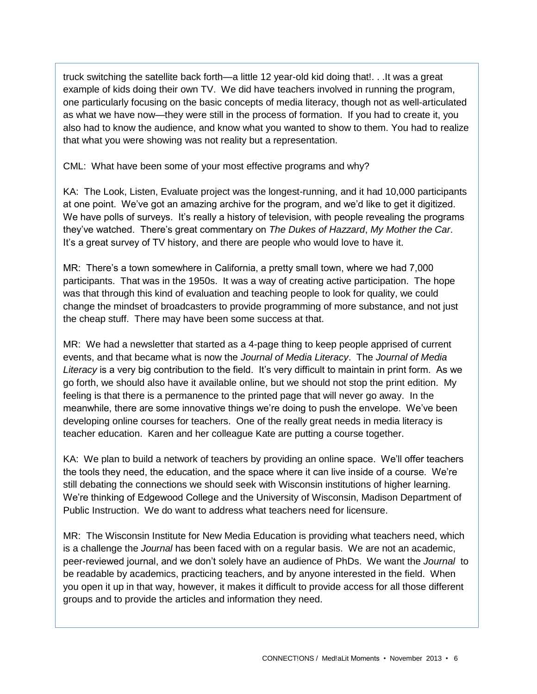truck switching the satellite back forth—a little 12 year-old kid doing that!. . .It was a great example of kids doing their own TV. We did have teachers involved in running the program, one particularly focusing on the basic concepts of media literacy, though not as well-articulated as what we have now—they were still in the process of formation. If you had to create it, you also had to know the audience, and know what you wanted to show to them. You had to realize that what you were showing was not reality but a representation.

CML: What have been some of your most effective programs and why?

KA: The Look, Listen, Evaluate project was the longest-running, and it had 10,000 participants at one point. We've got an amazing archive for the program, and we'd like to get it digitized. We have polls of surveys. It's really a history of television, with people revealing the programs they've watched. There's great commentary on *The Dukes of Hazzard*, *My Mother the Car*. It's a great survey of TV history, and there are people who would love to have it.

MR: There's a town somewhere in California, a pretty small town, where we had 7,000 participants. That was in the 1950s. It was a way of creating active participation. The hope was that through this kind of evaluation and teaching people to look for quality, we could change the mindset of broadcasters to provide programming of more substance, and not just the cheap stuff. There may have been some success at that.

MR: We had a newsletter that started as a 4-page thing to keep people apprised of current events, and that became what is now the *Journal of Media Literacy*. The *Journal of Media Literacy* is a very big contribution to the field. It's very difficult to maintain in print form. As we go forth, we should also have it available online, but we should not stop the print edition. My feeling is that there is a permanence to the printed page that will never go away. In the meanwhile, there are some innovative things we're doing to push the envelope. We've been developing online courses for teachers. One of the really great needs in media literacy is teacher education. Karen and her colleague Kate are putting a course together.

KA: We plan to build a network of teachers by providing an online space. We'll offer teachers the tools they need, the education, and the space where it can live inside of a course. We're still debating the connections we should seek with Wisconsin institutions of higher learning. We're thinking of Edgewood College and the University of Wisconsin, Madison Department of Public Instruction. We do want to address what teachers need for licensure.

MR: The Wisconsin Institute for New Media Education is providing what teachers need, which is a challenge the *Journal* has been faced with on a regular basis. We are not an academic, peer-reviewed journal, and we don't solely have an audience of PhDs. We want the *Journal* to be readable by academics, practicing teachers, and by anyone interested in the field. When you open it up in that way, however, it makes it difficult to provide access for all those different groups and to provide the articles and information they need.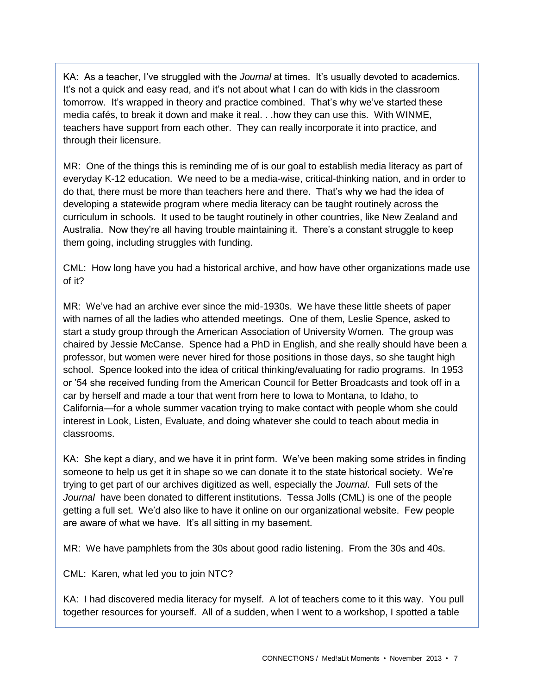KA: As a teacher, I've struggled with the *Journal* at times. It's usually devoted to academics. It's not a quick and easy read, and it's not about what I can do with kids in the classroom tomorrow. It's wrapped in theory and practice combined. That's why we've started these media cafés, to break it down and make it real. . .how they can use this. With WINME, teachers have support from each other. They can really incorporate it into practice, and through their licensure.

MR: One of the things this is reminding me of is our goal to establish media literacy as part of everyday K-12 education. We need to be a media-wise, critical-thinking nation, and in order to do that, there must be more than teachers here and there. That's why we had the idea of developing a statewide program where media literacy can be taught routinely across the curriculum in schools. It used to be taught routinely in other countries, like New Zealand and Australia. Now they're all having trouble maintaining it. There's a constant struggle to keep them going, including struggles with funding.

CML: How long have you had a historical archive, and how have other organizations made use of it?

MR: We've had an archive ever since the mid-1930s. We have these little sheets of paper with names of all the ladies who attended meetings. One of them, Leslie Spence, asked to start a study group through the American Association of University Women. The group was chaired by Jessie McCanse. Spence had a PhD in English, and she really should have been a professor, but women were never hired for those positions in those days, so she taught high school. Spence looked into the idea of critical thinking/evaluating for radio programs. In 1953 or '54 she received funding from the American Council for Better Broadcasts and took off in a car by herself and made a tour that went from here to Iowa to Montana, to Idaho, to California—for a whole summer vacation trying to make contact with people whom she could interest in Look, Listen, Evaluate, and doing whatever she could to teach about media in classrooms.

KA: She kept a diary, and we have it in print form. We've been making some strides in finding someone to help us get it in shape so we can donate it to the state historical society. We're trying to get part of our archives digitized as well, especially the *Journal*. Full sets of the *Journal* have been donated to different institutions. Tessa Jolls (CML) is one of the people getting a full set. We'd also like to have it online on our organizational website. Few people are aware of what we have. It's all sitting in my basement.

MR: We have pamphlets from the 30s about good radio listening. From the 30s and 40s.

CML: Karen, what led you to join NTC?

KA: I had discovered media literacy for myself. A lot of teachers come to it this way. You pull together resources for yourself. All of a sudden, when I went to a workshop, I spotted a table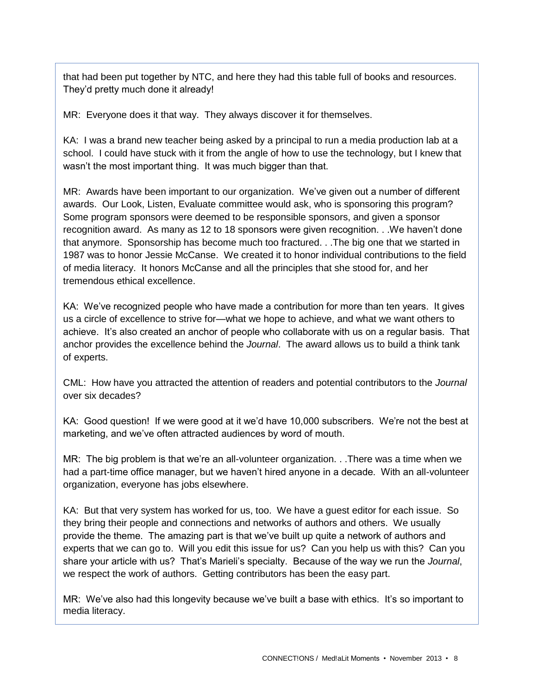that had been put together by NTC, and here they had this table full of books and resources. They'd pretty much done it already!

MR: Everyone does it that way. They always discover it for themselves.

KA: I was a brand new teacher being asked by a principal to run a media production lab at a school. I could have stuck with it from the angle of how to use the technology, but I knew that wasn't the most important thing. It was much bigger than that.

MR: Awards have been important to our organization. We've given out a number of different awards. Our Look, Listen, Evaluate committee would ask, who is sponsoring this program? Some program sponsors were deemed to be responsible sponsors, and given a sponsor recognition award. As many as 12 to 18 sponsors were given recognition. . .We haven't done that anymore. Sponsorship has become much too fractured. . .The big one that we started in 1987 was to honor Jessie McCanse. We created it to honor individual contributions to the field of media literacy. It honors McCanse and all the principles that she stood for, and her tremendous ethical excellence.

KA: We've recognized people who have made a contribution for more than ten years. It gives us a circle of excellence to strive for—what we hope to achieve, and what we want others to achieve. It's also created an anchor of people who collaborate with us on a regular basis. That anchor provides the excellence behind the *Journal*. The award allows us to build a think tank of experts.

CML: How have you attracted the attention of readers and potential contributors to the *Journal*  over six decades?

KA: Good question! If we were good at it we'd have 10,000 subscribers. We're not the best at marketing, and we've often attracted audiences by word of mouth.

MR: The big problem is that we're an all-volunteer organization. . .There was a time when we had a part-time office manager, but we haven't hired anyone in a decade. With an all-volunteer organization, everyone has jobs elsewhere.

KA: But that very system has worked for us, too. We have a guest editor for each issue. So they bring their people and connections and networks of authors and others. We usually provide the theme. The amazing part is that we've built up quite a network of authors and experts that we can go to. Will you edit this issue for us? Can you help us with this? Can you share your article with us? That's Marieli's specialty. Because of the way we run the *Journal*, we respect the work of authors. Getting contributors has been the easy part.

MR: We've also had this longevity because we've built a base with ethics. It's so important to media literacy.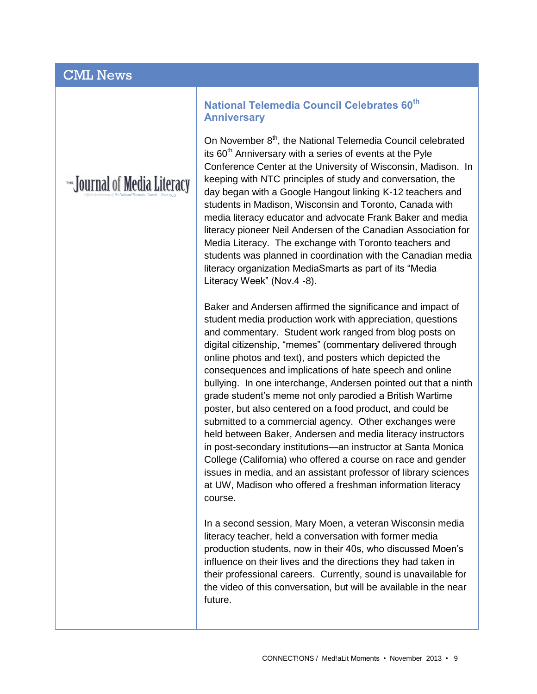# CML News

# THE Journal of Media Literacy

#### **National Telemedia Council Celebrates 60th Anniversary**

On November 8<sup>th</sup>, the National Telemedia Council celebrated its  $60<sup>th</sup>$  Anniversary with a series of events at the Pyle Conference Center at the University of Wisconsin, Madison. In keeping with NTC principles of study and conversation, the day began with a Google Hangout linking K-12 teachers and students in Madison, Wisconsin and Toronto, Canada with media literacy educator and advocate Frank Baker and media literacy pioneer Neil Andersen of the Canadian Association for Media Literacy. The exchange with Toronto teachers and students was planned in coordination with the Canadian media literacy organization MediaSmarts as part of its "Media Literacy Week" (Nov.4 -8).

Baker and Andersen affirmed the significance and impact of student media production work with appreciation, questions and commentary. Student work ranged from blog posts on digital citizenship, "memes" (commentary delivered through online photos and text), and posters which depicted the consequences and implications of hate speech and online bullying. In one interchange, Andersen pointed out that a ninth grade student's meme not only parodied a British Wartime poster, but also centered on a food product, and could be submitted to a commercial agency. Other exchanges were held between Baker, Andersen and media literacy instructors in post-secondary institutions—an instructor at Santa Monica College (California) who offered a course on race and gender issues in media, and an assistant professor of library sciences at UW, Madison who offered a freshman information literacy course.

In a second session, Mary Moen, a veteran Wisconsin media literacy teacher, held a conversation with former media production students, now in their 40s, who discussed Moen's influence on their lives and the directions they had taken in their professional careers. Currently, sound is unavailable for the video of this conversation, but will be available in the near future.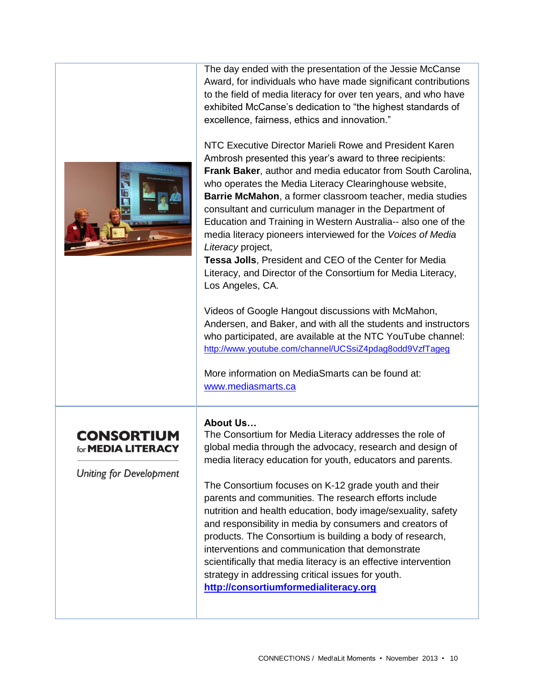

The day ended with the presentation of the Jessie McCanse Award, for individuals who have made significant contributions to the field of media literacy for over ten years, and who have exhibited McCanse's dedication to "the highest standards of excellence, fairness, ethics and innovation."

NTC Executive Director Marieli Rowe and President Karen Ambrosh presented this year's award to three recipients: **Frank Baker**, author and media educator from South Carolina, who operates the Media Literacy Clearinghouse website, **Barrie McMahon**, a former classroom teacher, media studies consultant and curriculum manager in the Department of Education and Training in Western Australia-- also one of the media literacy pioneers interviewed for the *Voices of Media Literacy* project,

**Tessa Jolls**, President and CEO of the Center for Media Literacy, and Director of the Consortium for Media Literacy, Los Angeles, CA.

Videos of Google Hangout discussions with McMahon, Andersen, and Baker, and with all the students and instructors who participated, are available at the NTC YouTube channel: <http://www.youtube.com/channel/UCSsiZ4pdag8odd9VzfTageg>

More information on MediaSmarts can be found at: [www.mediasmarts.ca](http://www.mediasmarts.ca/)

## **CONSORTIUM** for **MEDIA LITERACY**

Uniting for Development

#### **About Us…**

The Consortium for Media Literacy addresses the role of global media through the advocacy, research and design of media literacy education for youth, educators and parents.

The Consortium focuses on K-12 grade youth and their parents and communities. The research efforts include nutrition and health education, body image/sexuality, safety and responsibility in media by consumers and creators of products. The Consortium is building a body of research, interventions and communication that demonstrate scientifically that media literacy is an effective intervention strategy in addressing critical issues for youth. **[http://consortiumformedialiteracy.org](http://consortiumformedialiteracy.org/)**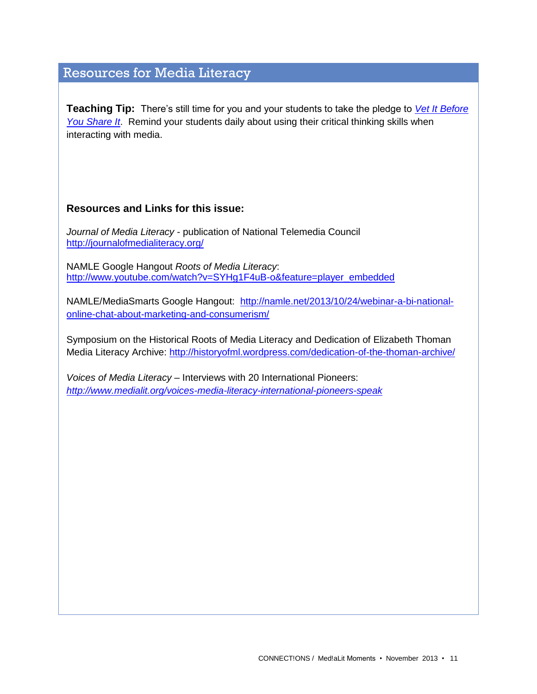# Resources for Media Literacy

**Teaching Tip:** There's still time for you and your students to take the pledge to *[Vet It Before](http://takeaction.takepart.com/actions/question-your-media-vet-it-you-share-it)  [You Share It](http://takeaction.takepart.com/actions/question-your-media-vet-it-you-share-it)*. Remind your students daily about using their critical thinking skills when interacting with media.

#### **Resources and Links for this issue:**

*Journal of Media Literacy* - publication of National Telemedia Council <http://journalofmedialiteracy.org/>

NAMLE Google Hangout *Roots of Media Literacy*: [http://www.youtube.com/watch?v=SYHg1F4uB-o&feature=player\\_embedded](http://www.youtube.com/watch?v=SYHg1F4uB-o&feature=player_embedded)

NAMLE/MediaSmarts Google Hangout: [http://namle.net/2013/10/24/webinar-a-bi-national](http://namle.net/2013/10/24/webinar-a-bi-national-online-chat-about-marketing-and-consumerism/)[online-chat-about-marketing-and-consumerism/](http://namle.net/2013/10/24/webinar-a-bi-national-online-chat-about-marketing-and-consumerism/)

Symposium on the Historical Roots of Media Literacy and Dedication of Elizabeth Thoman Media Literacy Archive:<http://historyofml.wordpress.com/dedication-of-the-thoman-archive/>

*Voices of Media Literacy –* Interviews with 20 International Pioneers: *<http://www.medialit.org/voices-media-literacy-international-pioneers-speak>*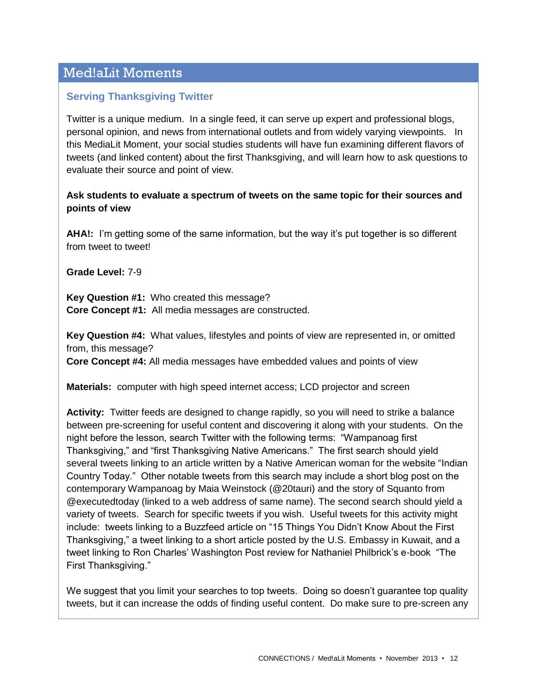# Med!aLit Moments

### **Serving Thanksgiving Twitter**

Twitter is a unique medium. In a single feed, it can serve up expert and professional blogs, personal opinion, and news from international outlets and from widely varying viewpoints. In this MediaLit Moment, your social studies students will have fun examining different flavors of tweets (and linked content) about the first Thanksgiving, and will learn how to ask questions to evaluate their source and point of view.

#### **Ask students to evaluate a spectrum of tweets on the same topic for their sources and points of view**

**AHA!:** I'm getting some of the same information, but the way it's put together is so different from tweet to tweet!

**Grade Level:** 7-9

**Key Question #1:** Who created this message? **Core Concept #1:** All media messages are constructed.

**Key Question #4:** What values, lifestyles and points of view are represented in, or omitted from, this message?

**Core Concept #4:** All media messages have embedded values and points of view

**Materials:** computer with high speed internet access; LCD projector and screen

**Activity:** Twitter feeds are designed to change rapidly, so you will need to strike a balance between pre-screening for useful content and discovering it along with your students. On the night before the lesson, search Twitter with the following terms: "Wampanoag first Thanksgiving," and "first Thanksgiving Native Americans." The first search should yield several tweets linking to an article written by a Native American woman for the website "Indian Country Today." Other notable tweets from this search may include a short blog post on the contemporary Wampanoag by Maia Weinstock (@20tauri) and the story of Squanto from @executedtoday (linked to a web address of same name). The second search should yield a variety of tweets. Search for specific tweets if you wish. Useful tweets for this activity might include: tweets linking to a Buzzfeed article on "15 Things You Didn't Know About the First Thanksgiving," a tweet linking to a short article posted by the U.S. Embassy in Kuwait, and a tweet linking to Ron Charles' Washington Post review for Nathaniel Philbrick's e-book "The First Thanksgiving."

We suggest that you limit your searches to top tweets. Doing so doesn't guarantee top quality tweets, but it can increase the odds of finding useful content. Do make sure to pre-screen any